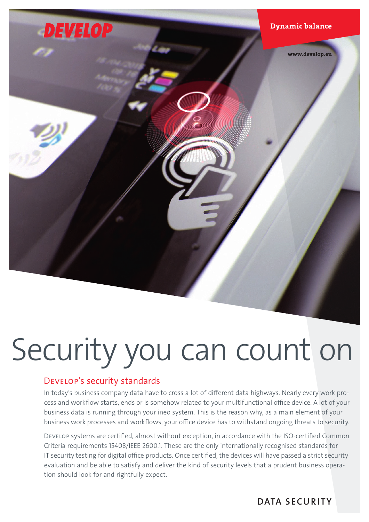

# Security you can count on

# Develop's security standards

In today's business company data have to cross a lot of different data highways. Nearly every work process and workflow starts, ends or is somehow related to your multifunctional office device. A lot of your business data is running through your ineo system. This is the reason why, as a main element of your business work processes and workflows, your office device has to withstand ongoing threats to security.

Develop systems are certified, almost without exception, in accordance with the ISO-certified Common Criteria requirements 15408/IEEE 2600.1. These are the only internationally recognised standards for IT security testing for digital office products. Once certified, the devices will have passed a strict security evaluation and be able to satisfy and deliver the kind of security levels that a prudent business operation should look for and rightfully expect.

DATA SECURITY